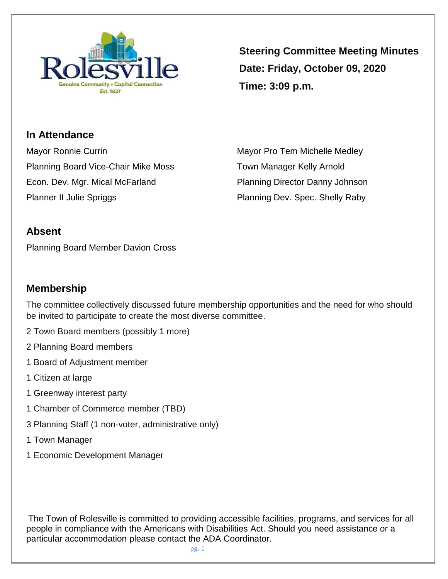

**Steering Committee Meeting Minutes Date: Friday, October 09, 2020 Time: 3:09 p.m.**

**In Attendance** Mayor Ronnie Currin **Mayor Pro Tem Michelle Medley** Mayor Pro Tem Michelle Medley Planning Board Vice-Chair Mike Moss Town Manager Kelly Arnold Econ. Dev. Mgr. Mical McFarland Planning Director Danny Johnson Planner II Julie Spriggs **Planning Dev. Spec. Shelly Raby** 

## **Absent**

Planning Board Member Davion Cross

## **Membership**

The committee collectively discussed future membership opportunities and the need for who should be invited to participate to create the most diverse committee.

- 2 Town Board members (possibly 1 more)
- 2 Planning Board members
- 1 Board of Adjustment member
- 1 Citizen at large
- 1 Greenway interest party
- 1 Chamber of Commerce member (TBD)
- 3 Planning Staff (1 non-voter, administrative only)
- 1 Town Manager
- 1 Economic Development Manager

The Town of Rolesville is committed to providing accessible facilities, programs, and services for all people in compliance with the Americans with Disabilities Act. Should you need assistance or a particular accommodation please contact the ADA Coordinator.